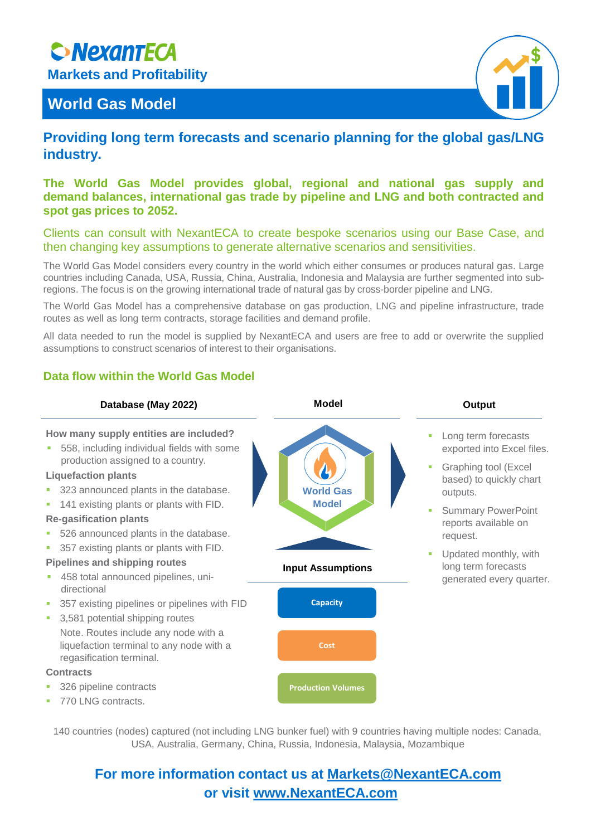# **SNexantECA**

**Markets and Profitability**

# **World Gas Model**



# **Providing long term forecasts and scenario planning for the global gas/LNG industry.**

## **The World Gas Model provides global, regional and national gas supply and demand balances, international gas trade by pipeline and LNG and both contracted and spot gas prices to 2052.**

Clients can consult with NexantECA to create bespoke scenarios using our Base Case, and then changing key assumptions to generate alternative scenarios and sensitivities.

The World Gas Model considers every country in the world which either consumes or produces natural gas. Large countries including Canada, USA, Russia, China, Australia, Indonesia and Malaysia are further segmented into subregions. The focus is on the growing international trade of natural gas by cross-border pipeline and LNG.

The World Gas Model has a comprehensive database on gas production, LNG and pipeline infrastructure, trade routes as well as long term contracts, storage facilities and demand profile.

All data needed to run the model is supplied by NexantECA and users are free to add or overwrite the supplied assumptions to construct scenarios of interest to their organisations.

#### **Database (May 2022) Model Model Output Capacity Cost Production Volumes** ■ Long term forecasts exported into Excel files. Graphing tool (Excel based) to quickly chart outputs. **Summary PowerPoint** reports available on request. Updated monthly, with long term forecasts generated every quarter. **World Gas Model Input Assumptions How many supply entities are included?** ■ 558, including individual fields with some production assigned to a country. **Liquefaction plants** 323 announced plants in the database. 141 existing plants or plants with FID. **Re-gasification plants** 526 announced plants in the database. 357 existing plants or plants with FID. **Pipelines and shipping routes** 458 total announced pipelines, unidirectional 357 existing pipelines or pipelines with FID ■ 3,581 potential shipping routes Note. Routes include any node with a liquefaction terminal to any node with a regasification terminal. **Contracts** 326 pipeline contracts 770 LNG contracts.

**Data flow within the World Gas Model**

140 countries (nodes) captured (not including LNG bunker fuel) with 9 countries having multiple nodes: Canada, USA, Australia, Germany, China, Russia, Indonesia, Malaysia, Mozambique

# **For more information contact us at [Markets@NexantECA.com](mailto:Markets@NexantECA.com) or visit [www.NexantECA.com](http://www.nexanteca.com/)**